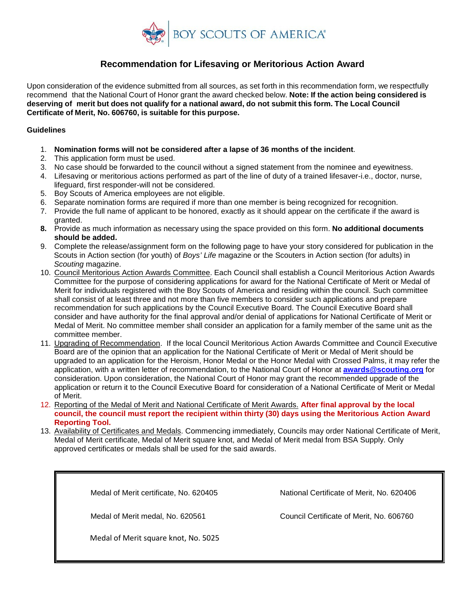

# **Recommendation for Lifesaving or Meritorious Action Award**

Upon consideration of the evidence submitted from all sources, as set forth in this recommendation form, we respectfully recommend that the National Court of Honor grant the award checked below. **Note: If the action being considered is deserving of merit but does not qualify for a national award, do not submit this form. The Local Council Certificate of Merit, No. 606760, is suitable for this purpose.**

#### **Guidelines**

- 1. **Nomination forms will not be considered after a lapse of 36 months of the incident**.
- 2. This application form must be used.
- 3. No case should be forwarded to the council without a signed statement from the nominee and eyewitness.
- 4. Lifesaving or meritorious actions performed as part of the line of duty of a trained lifesaver-i.e., doctor, nurse, lifeguard, first responder-will not be considered.
- 5. Boy Scouts of America employees are not eligible.
- 6. Separate nomination forms are required if more than one member is being recognized for recognition.
- 7. Provide the full name of applicant to be honored, exactly as it should appear on the certificate if the award is granted.
- **8.** Provide as much information as necessary using the space provided on this form. **No additional documents should be added.**
- 9. Complete the release/assignment form on the following page to have your story considered for publication in the Scouts in Action section (for youth) of *Boys' Life* magazine or the Scouters in Action section (for adults) in *Scouting* magazine.
- 10. Council Meritorious Action Awards Committee. Each Council shall establish a Council Meritorious Action Awards Committee for the purpose of considering applications for award for the National Certificate of Merit or Medal of Merit for individuals registered with the Boy Scouts of America and residing within the council. Such committee shall consist of at least three and not more than five members to consider such applications and prepare recommendation for such applications by the Council Executive Board. The Council Executive Board shall consider and have authority for the final approval and/or denial of applications for National Certificate of Merit or Medal of Merit. No committee member shall consider an application for a family member of the same unit as the committee member.
- 11. Upgrading of Recommendation. If the local Council Meritorious Action Awards Committee and Council Executive Board are of the opinion that an application for the National Certificate of Merit or Medal of Merit should be upgraded to an application for the Heroism, Honor Medal or the Honor Medal with Crossed Palms, it may refer the application, with a written letter of recommendation, to the National Court of Honor at **[awards@scouting.org](mailto:awards@scouting.org)** for consideration. Upon consideration, the National Court of Honor may grant the recommended upgrade of the application or return it to the Council Executive Board for consideration of a National Certificate of Merit or Medal of Merit.
- 12. Reporting of the Medal of Merit and National Certificate of Merit Awards. **After final approval by the local council, the council must report the recipient within thirty (30) days using the Meritorious Action Award Reporting Tool.**
- 13. Availability of Certificates and Medals. Commencing immediately, Councils may order National Certificate of Merit, Medal of Merit certificate, Medal of Merit square knot, and Medal of Merit medal from BSA Supply. Only approved certificates or medals shall be used for the said awards.

Medal of Merit certificate, No. 620405National Certificate of Merit, No. 620406

Medal of Merit square knot, No. 5025

Medal of Merit medal, No. 620561Council Certificate of Merit, No. 606760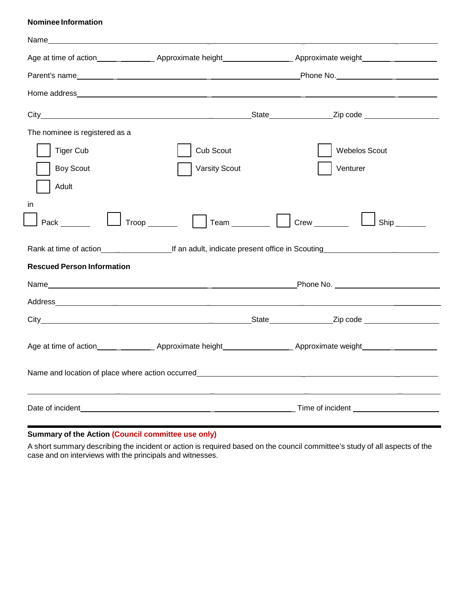#### **Nominee Information**

| Name                              |                       |                                                                                                                |  |
|-----------------------------------|-----------------------|----------------------------------------------------------------------------------------------------------------|--|
|                                   |                       |                                                                                                                |  |
|                                   |                       |                                                                                                                |  |
|                                   |                       |                                                                                                                |  |
|                                   |                       |                                                                                                                |  |
| The nominee is registered as a    |                       |                                                                                                                |  |
| <b>Tiger Cub</b>                  | Cub Scout             | <b>Webelos Scout</b>                                                                                           |  |
| <b>Boy Scout</b>                  | <b>Varsity Scout</b>  | Venturer                                                                                                       |  |
| Adult                             |                       |                                                                                                                |  |
| in                                |                       |                                                                                                                |  |
| Pack                              | $Trop$ <sub>___</sub> | Team $\begin{array}{c c c} \hline \end{array}$<br>$Crew \_$<br>$\mathsf{Ship}\_\_\_\_\_\_\_\$                  |  |
|                                   |                       |                                                                                                                |  |
| <b>Rescued Person Information</b> |                       |                                                                                                                |  |
|                                   |                       |                                                                                                                |  |
|                                   |                       |                                                                                                                |  |
|                                   |                       |                                                                                                                |  |
|                                   |                       |                                                                                                                |  |
|                                   |                       | Age at time of action__________________Approximate height_______________________Approximate weight____________ |  |
|                                   |                       |                                                                                                                |  |
|                                   |                       |                                                                                                                |  |
|                                   |                       |                                                                                                                |  |
| Date of incident                  |                       |                                                                                                                |  |
|                                   |                       |                                                                                                                |  |

### **Summary of the Action (Council committee use only)**

A short summary describing the incident or action is required based on the council committee's study of all aspects of the case and on interviews with the principals and witnesses.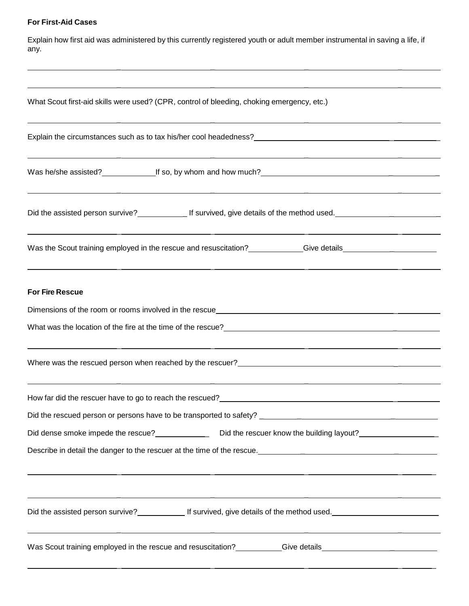# **For First-Aid Cases**

Explain how first aid was administered by this currently registered youth or adult member instrumental in saving a life, if any.

\_ \_ \_ \_

| What Scout first-aid skills were used? (CPR, control of bleeding, choking emergency, etc.)                                                                                                                                             |  |
|----------------------------------------------------------------------------------------------------------------------------------------------------------------------------------------------------------------------------------------|--|
|                                                                                                                                                                                                                                        |  |
|                                                                                                                                                                                                                                        |  |
|                                                                                                                                                                                                                                        |  |
| Was the Scout training employed in the rescue and resuscitation? ___________Give details______________________<br><u> 1990 - Jan James James Jan James James James James James James James James James James James James James Jam</u> |  |
| <b>For Fire Rescue</b>                                                                                                                                                                                                                 |  |
|                                                                                                                                                                                                                                        |  |
|                                                                                                                                                                                                                                        |  |
|                                                                                                                                                                                                                                        |  |
| <u> 1980 - Andrea San Andrea San Andrea San Andrea San Andrea San Andrea San Andrea San Andrea San Andrea San An</u>                                                                                                                   |  |
|                                                                                                                                                                                                                                        |  |
|                                                                                                                                                                                                                                        |  |
| Describe in detail the danger to the rescuer at the time of the rescue.<br><u>Describe in detail the danger to the rescuer at the time of the rescue.</u>                                                                              |  |
| <u> 1989 - Andrea Santa Alemania, amerikana amerikana amerikana amerikana amerikana amerikana amerikana amerikana</u><br>Did the assisted person survive?<br><u>First survived, give details of the method used.</u>                   |  |
| <u> 1989 - Andrea San Andrea San Andrea San Andrea San Andrea San Andrea San Andrea San Andrea San Andrea San An</u>                                                                                                                   |  |
|                                                                                                                                                                                                                                        |  |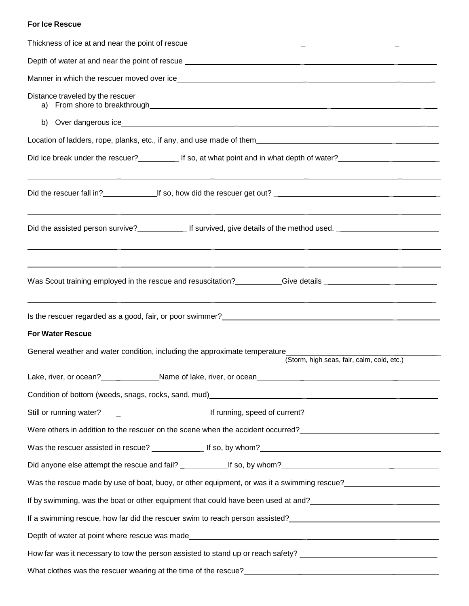### **For Ice Rescue**

| Distance traveled by the rescuer                                                                                                                                                                                                       |
|----------------------------------------------------------------------------------------------------------------------------------------------------------------------------------------------------------------------------------------|
|                                                                                                                                                                                                                                        |
| Location of ladders, rope, planks, etc., if any, and use made of them                                                                                                                                                                  |
| <u> 1980 - Andrea Andrew Maria (h. 1980).</u><br>1901 - Maria Santo, martxa eta batailar eta batailaren 1902ko hamarkada (h. 1902).                                                                                                    |
|                                                                                                                                                                                                                                        |
|                                                                                                                                                                                                                                        |
| <u> 1989 - Andrea San Andrea Andrea Andrea Andrea Andrea Andrea Andrea Andrea Andrea Andrea Andrea Andrea Andrea </u>                                                                                                                  |
| Is the rescuer regarded as a good, fair, or poor swimmer?<br><u>Letter and the contract of the contract of the contract of the contract of the contract of the contract of the contract of the contract of the contract of the con</u> |
| <b>For Water Rescue</b>                                                                                                                                                                                                                |
| General weather and water condition, including the approximate temperature<br>(Storm, high seas, fair, calm, cold, etc.)                                                                                                               |
| Lake, river, or ocean?<br>Name of lake, river, or ocean                                                                                                                                                                                |
| Condition of bottom (weeds, snags, rocks, sand, mud)<br>endiasing the condition of bottom (weeds, snags, rocks, sand, mud)<br>and the condition of the condition of the condition of the condition of the condition of the conditi     |
|                                                                                                                                                                                                                                        |
|                                                                                                                                                                                                                                        |
|                                                                                                                                                                                                                                        |
|                                                                                                                                                                                                                                        |
|                                                                                                                                                                                                                                        |
|                                                                                                                                                                                                                                        |
|                                                                                                                                                                                                                                        |
|                                                                                                                                                                                                                                        |
| How far was it necessary to tow the person assisted to stand up or reach safety? _____________________________                                                                                                                         |
|                                                                                                                                                                                                                                        |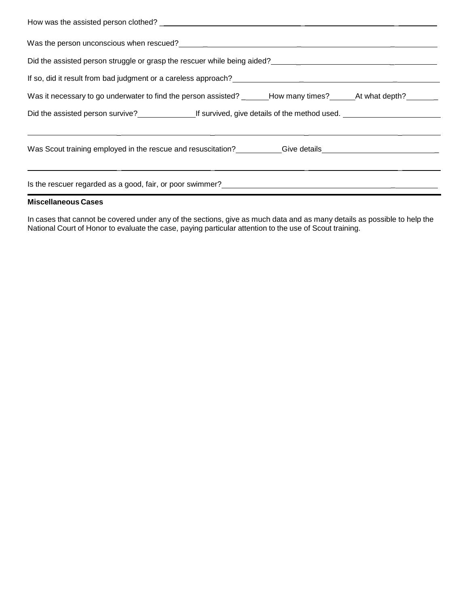| If so, did it result from bad judgment or a careless approach?<br>The solution of the same of the same of the same of the same of the same of the same of the same of the same o                                                       |  |  |  |  |
|----------------------------------------------------------------------------------------------------------------------------------------------------------------------------------------------------------------------------------------|--|--|--|--|
| Was it necessary to go underwater to find the person assisted? _______How many times?_______At what depth?______                                                                                                                       |  |  |  |  |
|                                                                                                                                                                                                                                        |  |  |  |  |
|                                                                                                                                                                                                                                        |  |  |  |  |
|                                                                                                                                                                                                                                        |  |  |  |  |
|                                                                                                                                                                                                                                        |  |  |  |  |
| Is the rescuer regarded as a good, fair, or poor swimmer?<br><u>Letter and an announcement and an announcement and an announcement and the set of the set of the set of the set of the set of the set of the set of the set of the</u> |  |  |  |  |

#### **Miscellaneous Cases**

In cases that cannot be covered under any of the sections, give as much data and as many details as possible to help the National Court of Honor to evaluate the case, paying particular attention to the use of Scout training.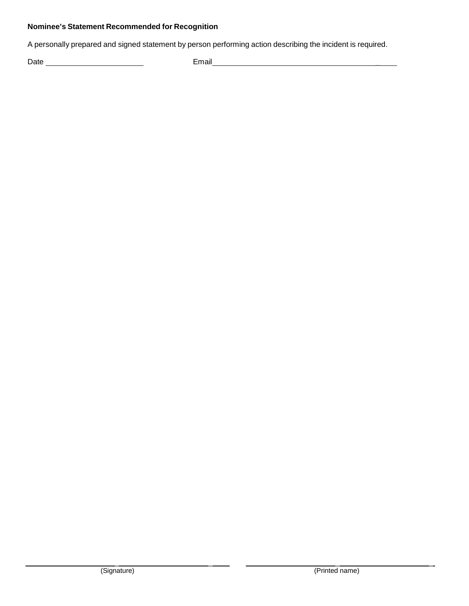## **Nominee's Statement Recommended for Recognition**

A personally prepared and signed statement by person performing action describing the incident is required.

Date Email \_

\_ \_ \_ \_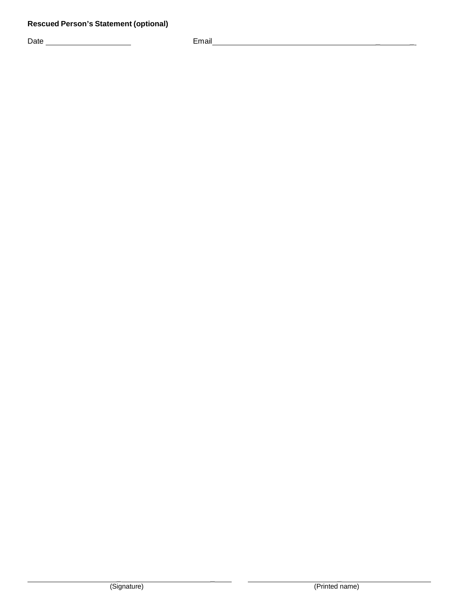Date Email \_ \_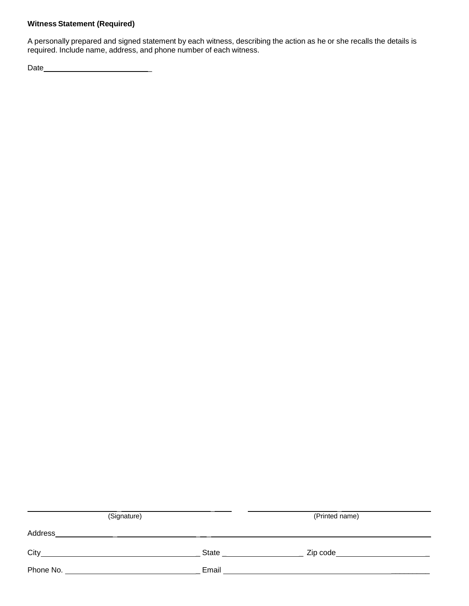### **Witness Statement (Required)**

A personally prepared and signed statement by each witness, describing the action as he or she recalls the details is required. Include name, address, and phone number of each witness.

Date \_

| (Signature) |                    | (Printed name) |  |
|-------------|--------------------|----------------|--|
| Address     |                    |                |  |
| City        | <b>State State</b> |                |  |
| Phone No.   | Email              |                |  |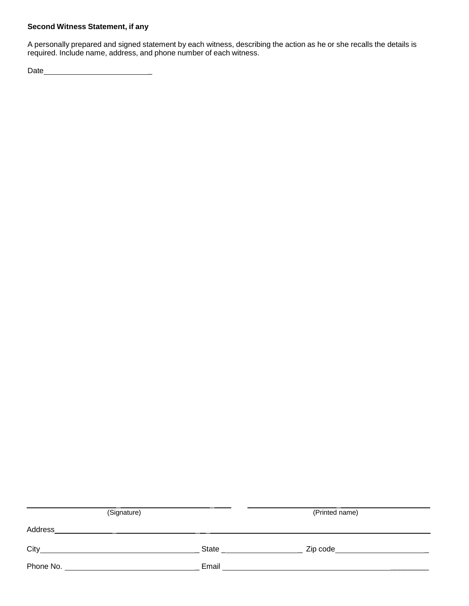#### **Second Witness Statement, if any**

A personally prepared and signed statement by each witness, describing the action as he or she recalls the details is required. Include name, address, and phone number of each witness.

Date \_

| (Signature) |                          | (Printed name)                    |  |
|-------------|--------------------------|-----------------------------------|--|
| Address     |                          |                                   |  |
|             | State <b>State State</b> | Zip code_________________________ |  |
| Phone No.   | Email                    |                                   |  |